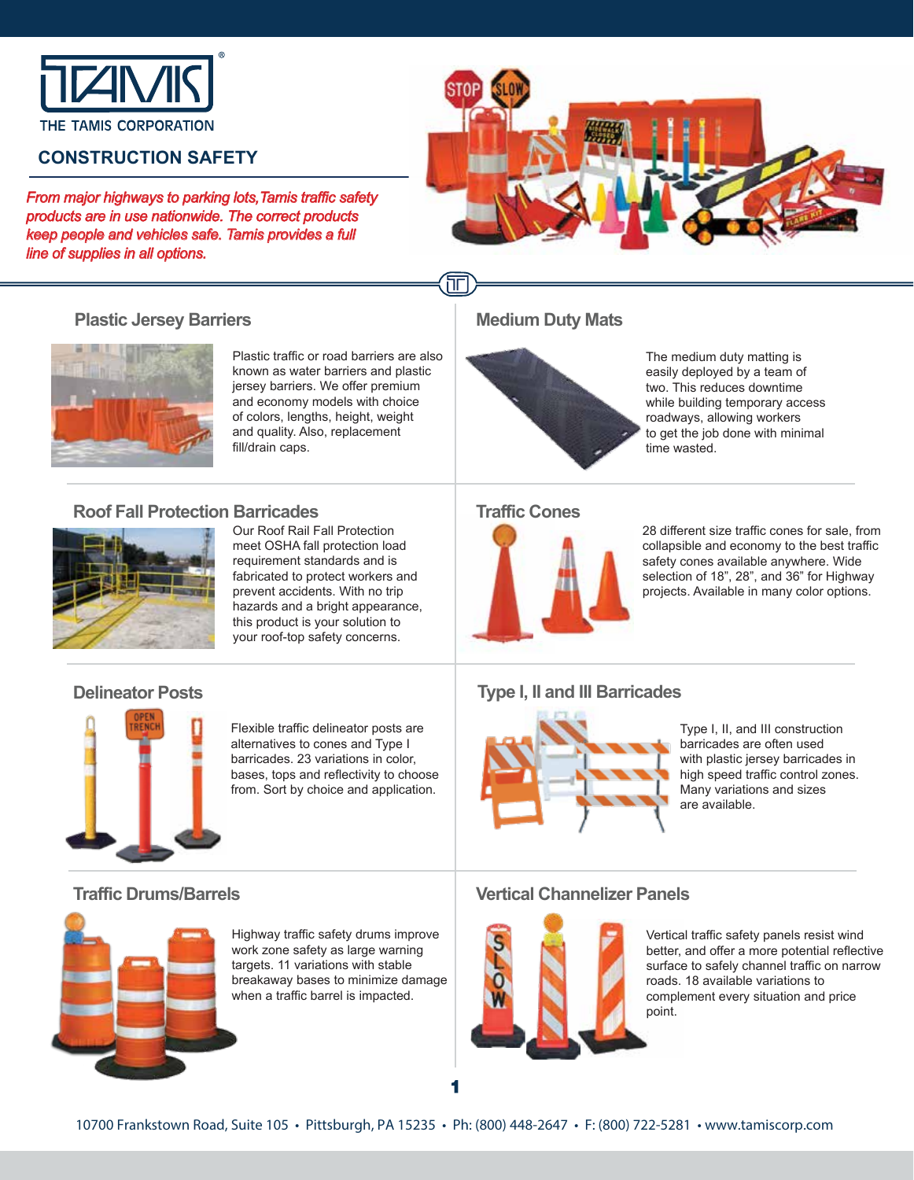

# **CONSTRUCTION SAFETY**

**Plastic Jersey Barriers** 

*From major highways to parking lots,Tamis traffic safety products are in use nationwide. The correct products keep people and vehicles safe. Tamis provides a full line of supplies in all options.*



hг **Medium Duty Mats**



**Traffic Cones** 

The medium duty matting is easily deployed by a team of two. This reduces downtime while building temporary access roadways, allowing workers to get the job done with minimal time wasted.

28 different size traffic cones for sale, from collapsible and economy to the best traffic safety cones available anywhere. Wide selection of 18", 28", and 36" for Highway projects. Available in many color options.

### **Roof Fall Protection Barricades**



Our Roof Rail Fall Protection meet OSHA fall protection load requirement standards and is fabricated to protect workers and prevent accidents. With no trip hazards and a bright appearance, this product is your solution to your roof-top safety concerns.

Plastic traffic or road barriers are also known as water barriers and plastic jersey barriers. We offer premium and economy models with choice of colors, lengths, height, weight and quality. Also, replacement

fill/drain caps.

#### **Delineator Posts**



Flexible traffic delineator posts are alternatives to cones and Type I barricades. 23 variations in color, bases, tops and reflectivity to choose from. Sort by choice and application.

### **Type I, II and III Barricades**



Type I, II, and III construction barricades are often used with plastic jersey barricades in high speed traffic control zones. Many variations and sizes are available.



Highway traffic safety drums improve work zone safety as large warning targets. 11 variations with stable breakaway bases to minimize damage when a traffic barrel is impacted.

### **Traffic Drums/Barrels Vertical Channelizer Panels**



Vertical traffic safety panels resist wind better, and offer a more potential reflective surface to safely channel traffic on narrow roads. 18 available variations to complement every situation and price point.